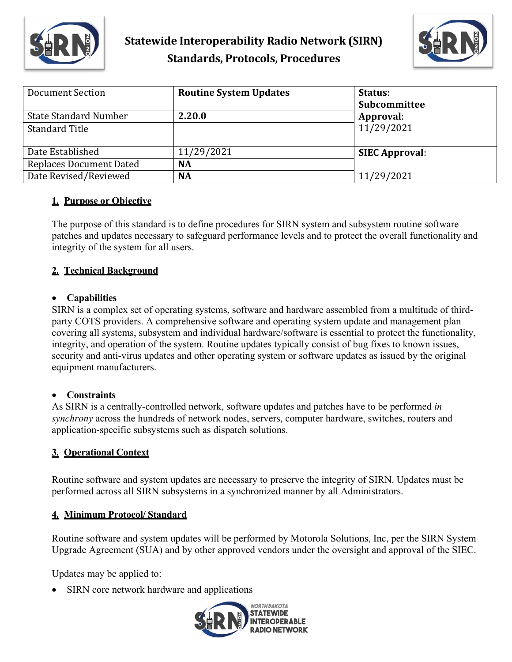



| Document Section             | <b>Routine System Updates</b> | Status:<br>Subcommittee |
|------------------------------|-------------------------------|-------------------------|
| <b>State Standard Number</b> | 2.20.0                        | Approval:               |
| <b>Standard Title</b>        |                               | 11/29/2021              |
| Date Established             | 11/29/2021                    | <b>SIEC Approval:</b>   |
| Replaces Document Dated      | <b>NA</b>                     |                         |
| Date Revised/Reviewed        | <b>NA</b>                     | 11/29/2021              |

#### **1. Purpose or Objective**

The purpose of this standard is to define procedures for SIRN system and subsystem routine software patches and updates necessary to safeguard performance levels and to protect the overall functionality and integrity of the system for all users.

## **2. Technical Background**

#### • **Capabilities**

SIRN is a complex set of operating systems, software and hardware assembled from a multitude of thirdparty COTS providers. A comprehensive software and operating system update and management plan covering all systems, subsystem and individual hardware/software is essential to protect the functionality, integrity, and operation of the system. Routine updates typically consist of bug fixes to known issues, security and anti-virus updates and other operating system or software updates as issued by the original equipment manufacturers.

#### • **Constraints**

As SIRN is a centrally-controlled network, software updates and patches have to be performed *in synchrony* across the hundreds of network nodes, servers, computer hardware, switches, routers and application-specific subsystems such as dispatch solutions.

#### **3. Operational Context**

Routine software and system updates are necessary to preserve the integrity of SIRN. Updates must be performed across all SIRN subsystems in a synchronized manner by all Administrators.

## **4. Minimum Protocol/ Standard**

Routine software and system updates will be performed by Motorola Solutions, Inc, per the SIRN System Upgrade Agreement (SUA) and by other approved vendors under the oversight and approval of the SIEC.

Updates may be applied to:

• SIRN core network hardware and applications